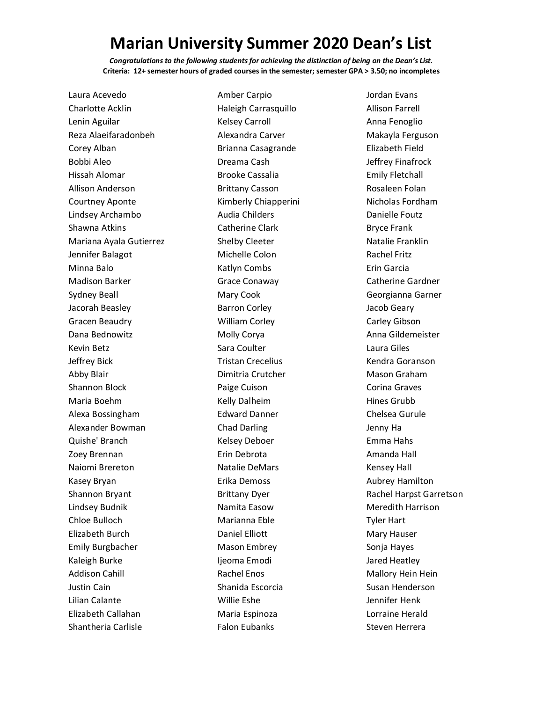## **Marian University Summer 2020 Dean's List**

*Congratulations to the following students for achieving the distinction of being on the Dean's List.* **Criteria: 12+ semester hours of graded courses in the semester; semester GPA > 3.50; no incompletes**

Laura Acevedo Charlotte Acklin Lenin Aguilar Reza Alaeifaradonbeh Corey Alban Bobbi Aleo Hissah Alomar Allison Anderson Courtney Aponte Lindsey Archambo Shawna Atkins Mariana Ayala Gutierrez Jennifer Balagot Minna Balo Madison Barker Sydney Beall Jacorah Beasley Gracen Beaudry Dana Bednowitz Kevin Betz Jeffrey Bick Abby Blair Shannon Block Maria Boehm Alexa Bossingham Alexander Bowman Quishe' Branch Zoey Brennan Naiomi Brereton Kasey Bryan Shannon Bryant Lindsey Budnik Chloe Bulloch Elizabeth Burch Emily Burgbacher Kaleigh Burke Addison Cahill Justin Cain Lilian Calante Elizabeth Callahan Shantheria Carlisle

Amber Carpio Haleigh Carrasquillo Kelsey Carroll Alexandra Carver Brianna Casagrande Dreama Cash Brooke Cassalia Brittany Casson Kimberly Chiapperini Audia Childers Catherine Clark Shelby Cleeter Michelle Colon Katlyn Combs Grace Conaway Mary Cook Barron Corley William Corley Molly Corya Sara Coulter Tristan Crecelius Dimitria Crutcher Paige Cuison Kelly Dalheim Edward Danner Chad Darling Kelsey Deboer Erin Debrota Natalie DeMars Erika Demoss Brittany Dyer Namita Easow Marianna Eble Daniel Elliott Mason Embrey Ijeoma Emodi Rachel Enos Shanida Escorcia Willie Eshe Maria Espinoza Falon Eubanks

Jordan Evans Allison Farrell Anna Fenoglio Makayla Ferguson Elizabeth Field Jeffrey Finafrock Emily Fletchall Rosaleen Folan Nicholas Fordham Danielle Foutz Bryce Frank Natalie Franklin Rachel Fritz Erin Garcia Catherine Gardner Georgianna Garner Jacob Geary Carley Gibson Anna Gildemeister Laura Giles Kendra Goranson Mason Graham Corina Graves Hines Grubb Chelsea Gurule Jenny Ha Emma Hahs Amanda Hall Kensey Hall Aubrey Hamilton Rachel Harpst Garretson Meredith Harrison Tyler Hart Mary Hauser Sonja Hayes Jared Heatley Mallory Hein Hein Susan Henderson Jennifer Henk Lorraine Herald Steven Herrera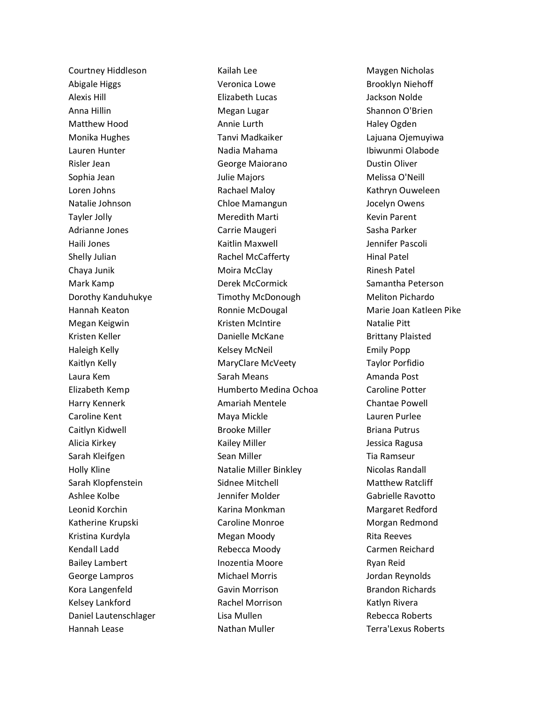Courtney Hiddleson Abigale Higgs Alexis Hill Anna Hillin Matthew Hood Monika Hughes Lauren Hunter Risler Jean Sophia Jean Loren Johns Natalie Johnson Tayler Jolly Adrianne Jones Haili Jones Shelly Julian Chaya Junik Mark Kamp Dorothy Kanduhukye Hannah Keaton Megan Keigwin Kristen Keller Haleigh Kelly Kaitlyn Kelly Laura Kem Elizabeth Kemp Harry Kennerk Caroline Kent Caitlyn Kidwell Alicia Kirkey Sarah Kleifgen Holly Kline Sarah Klopfenstein Ashlee Kolbe Leonid Korchin Katherine Krupski Kristina Kurdyla Kendall Ladd Bailey Lambert George Lampros Kora Langenfeld Kelsey Lankford Daniel Lautenschlager Hannah Lease

Kailah Lee Veronica Lowe Elizabeth Lucas Megan Lugar Annie Lurth Tanvi Madkaiker Nadia Mahama George Maiorano Julie Majors Rachael Maloy Chloe Mamangun Meredith Marti Carrie Maugeri Kaitlin Maxwell Rachel McCafferty Moira McClay Derek McCormick Timothy McDonough Ronnie McDougal Kristen McIntire Danielle McKane Kelsey McNeil MaryClare McVeety Sarah Means Humberto Medina Ochoa Amariah Mentele Maya Mickle Brooke Miller Kailey Miller Sean Miller Natalie Miller Binkley Sidnee Mitchell Jennifer Molder Karina Monkman Caroline Monroe Megan Moody Rebecca Moody Inozentia Moore Michael Morris Gavin Morrison Rachel Morrison Lisa Mullen Nathan Muller

Maygen Nicholas Brooklyn Niehoff Jackson Nolde Shannon O'Brien Haley Ogden Lajuana Ojemuyiwa Ibiwunmi Olabode Dustin Oliver Melissa O'Neill Kathryn Ouweleen Jocelyn Owens Kevin Parent Sasha Parker Jennifer Pascoli Hinal Patel Rinesh Patel Samantha Peterson Meliton Pichardo Marie Joan Katleen Pike Natalie Pitt Brittany Plaisted Emily Popp Taylor Porfidio Amanda Post Caroline Potter Chantae Powell Lauren Purlee Briana Putrus Jessica Ragusa Tia Ramseur Nicolas Randall Matthew Ratcliff Gabrielle Ravotto Margaret Redford Morgan Redmond Rita Reeves Carmen Reichard Ryan Reid Jordan Reynolds Brandon Richards Katlyn Rivera Rebecca Roberts Terra'Lexus Roberts